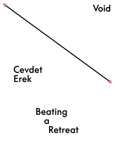

# Cevdet **Erek**

# **Beating**  $\overline{a}$ **Retreat**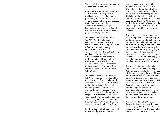Void is delighted to present Beating a Retreat with Cevdet Erek.

Cevdet Erek is an Istanbul based artist and musician. A background in architecture, sound engineering, and performing in a band forms the basis of his practice. In his working process Erek often responds to the architectural context through interventions, using sound to inhabit the space. His work is provocative, proposing new perspectives.

The exhibition was disrupted by COVID 19 and due to travel restrictions, has been developed remotely. Erek has developed Beating a Retreat through the lens of conversations, processes of experimentation and virtual tools. The conditions of production from a distance create a direct connection and correlation with some of the artist's previous works; Room of Rhythms - Long Distance Relationship, Sydney Biennial, 2016 and A Long Distance Relation, MUAC, Mexico City, 2017.

The exhibition starts with Welcome (2019) a sound piece installed at the entrance ramp of Void Gallery and culminates in Goodbye (2019) at the end of the exhibition. The signal from the loudspeakers interferes and disrupts the gallery space. This is a recurring theme in Cevdet's previous large scale installation works such as ÇIN (Turkish Pavilion, Venice Biennale, 2017), Bergama Stereo (Hamburger Bahnhof, Berlin, 2019) and Bergama Stereotip (Arter, Istanbul, 2019-20).

For the exhibition Erek has composed a new sound piece with the bodhrán

- an instrument associated with traditional Irish music of the 1960's. The history of the bodhrán is often connected with the ancient Celts and has a musical history that predates Christianity. Through his exploration of the bodhrán and framed drums widely used across Northern Africa and the Middle East, as well as Turkey and the wider region, Erek draws parallels between the traditions of disparate cultures.

For the sound piece Back - cut loops from a long improvised recording - a bodhrán was sent to Istanbul upon the request of Erek, who returned the drum to Void adding a drawing to the drum's body. In Back, Erek plays the drum in an unusual way: using fingers on the wooden holder and frame of the drum, rather than the skin of the instrument. Several different loops, cut from the long recording, will be installed during the exhibition period.

The sound of the percussion alludes to the title of the exhibition, Beating a Retreat, a reference to the military use of drums in signifying the end of battle and a retreat. The piece follows the artists' previous solo performances with past music releases Davul (2017) and Zincirli (2021), via Subtext Recordings, that consist of long duration improvisations and experimental playing and recording techniques applied on the davul - a popular bass drum from Anatolia, Balkans and the wider region.

The same bodhrán that Void sent to Erek is displayed with the addition of a drawing by the artist on parchment made of goatskin. The drawing unifies the bodhrán's drum skin and the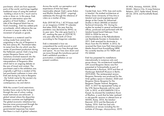parchment, which are from seperate parts of the world, and brings together traditional ways of using the material - building a drum to hit / touch and to write or draw on. In this piece, Erek stages an intervention upon the graphics of Void Gallery - at either side of the diagonal black line on Void's branding, Erek has added pink arrowheads, which reference the use of arrows in maps to refer to the movement of people or goods.

Parchment is a material used for writing made from animal skin originating in the city of Pergamon in the 2nd century BC. Parchment takes its name from the city which was the center of parchment production during the Hellenistic period. Erek's long time project Bergama Stereo and its variations involved research into the historical perception and political interpretations of Pergamon Altar which led to an ongoing debate on the axis of travel and context. The parchment used in the exhibition was originally a gift from a student of the last parchment craftsman in town who Erek met during his visits to Bergama - the Turkish name for the ancient city of Pergamon as well as the contemporary city and district.

With the current Covid restrictions borders have come to the fore and, through the use of colour coding, travel restrictions are enforced - a global retreat where the disparities between countries are highlighted. The global economic imbalance has become more pronounced through the pandemic and the divergence of governmental responses has meant that there is a lack of global cohesion.

Across the world, our perception and experience of time has been inextricably altered. Erek's series Rulers and Rhythm Studies (2007 - ongoing) addresses this through the inference of rulers as a marker of time.

Ruler 2019 BC19 to 1 AC19 bases itself on an imaginary COVID 19 calendar that takes 2020, the year that the pandemic was declared by WHO, as its year zero. The ruler goes back to 1 AC, marking the year as 2019 BC19, one year after the birth of Christ according to the Gregorian calendar.

Erek is interested in how we comprehend the world around us and how we organise our lives through time and space. As our lives slow down and we move through this tumultuous period Erek's exhibition provides a punctuation; a meditation on our present condition.

## **Biography**

Cevdet Erek, born 1974, lives and works in Istanbul. He studied architecture at Mimar Sinan University of Fine Arts in Istanbul and sound engineering and design at the Center for Advanced Studies in Music (MIAM) at Istanbul Technical University, ITU. During his studies he worked in several architectural offices, produced and performed with the Istanbul based band Nekropsi. From 2005 to 2006 he was an artist-in-residence at the Rijksakademie van Beeldende Kunsten in Amsterdam. In 2011, Erek received his doctorate in Music from the ITU MIAM. In 2012, he received the Nam June Paik International Media Award from Kunststiftung NRW. He currently teaches at ITU TMDK and ITU MIAM.

Erek has presented his installations internationally in numerous solo and group shows. His architectural installation with sound Bergama Stereo was first presented at Turbinenhalle as part of Ruthriennale in Bochum, 2019 and then at Hamburger Bahnhoff Museum in Berlin, 2019-2020. The reinterpreted version Bergama Stereotip was produced for the Arter gallery space in Istanbul, 2020 and Bergama Stereo Bergama for the Bergama Theater Festival, Bergama, 2021. In 2017 he represented Turkey at the 57th Venice Biennale with his work ÇIN. In 2012, at dOCUMENTA (13) in Kassel, he showed the installation Room of Rhythms, a work that he later realized in site-specific versions in altered form at MAXXI, Rome, 2014, the Istanbul Biennial, 2015 and the Biennale of Sydney, 2016. Erek has had solo exhibitions at venues including the Art Institute of Chicago, chiçiçiçichiciçi, 2019;

M HKA, Antwerp, AAAAA, 2018; MUAC, Mexico City, A Long Distance Relation, 2017; Spike Island, Bristol, Alt Üst, 2014; and Kunsthalle Basel, 2012.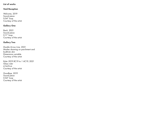## **List of works**

### **Void Reception**

Welcome, 2019 Sound piece 0.04" loop Courtesy of the artist

#### **Gallery One**

Back, 2021 Sound piece 0.11" loop Courtesy of the artist

#### **Gallery Two**

Double Arrow Line, 2021 Marker drawing on parchment and bodhrán skin Dimensions variable Courtesy of the artist

Ruler 2019 BC19 to 1 AC19, 2021 Glass ruler 4.5x31cm Courtesy of the artist

Goodbye, 2019 Sound piece 0.04" loop Courtesy of the artist